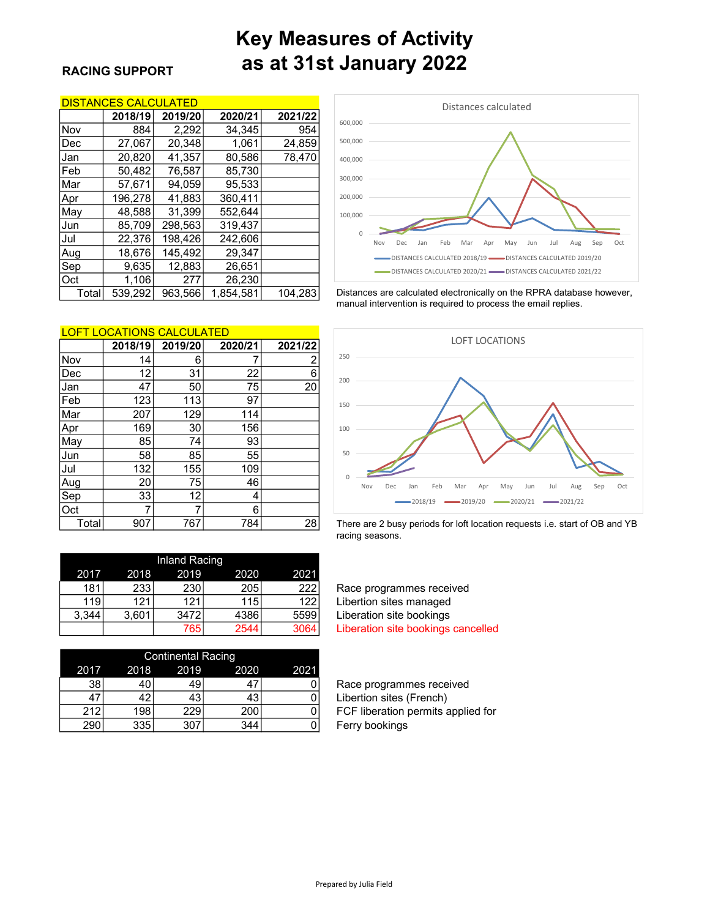# Key Measures of Activity RACING SUPPORT **as at 31st January 2022**

### DISTANCES CALCULATED

|       | 2018/19 | 2019/20 | 2020/21   | 2021/22 |
|-------|---------|---------|-----------|---------|
| Nov   | 884     | 2,292   | 34,345    | 954     |
| Dec   | 27,067  | 20.348  | 1,061     | 24,859  |
| Jan   | 20,820  | 41,357  | 80.586    | 78,470  |
| Feb   | 50,482  | 76,587  | 85,730    |         |
| Mar   | 57,671  | 94.059  | 95.533    |         |
| Apr   | 196,278 | 41,883  | 360.411   |         |
| May   | 48.588  | 31,399  | 552.644   |         |
| Jun   | 85,709  | 298.563 | 319.437   |         |
| Jul   | 22,376  | 198,426 | 242,606   |         |
| Aug   | 18,676  | 145.492 | 29.347    |         |
| Sep   | 9,635   | 12,883  | 26,651    |         |
| Oct   | 1,106   | 277     | 26.230    |         |
| Total | 539,292 | 963,566 | 1.854.581 | 104.283 |



Distances are calculated electronically on the RPRA database however, manual intervention is required to process the email replies.

| <u>LOFT LOCATIONS CALCULATED</u> |         |         |         |         |          |
|----------------------------------|---------|---------|---------|---------|----------|
|                                  | 2018/19 | 2019/20 | 2020/21 | 2021/22 |          |
| Nov                              | 14      | 6       |         | 2       | 250      |
| Dec                              | 12      | 31      | 22      | 6       |          |
| Jan                              | 47      | 50      | 75      | 20      | 200      |
| Feb                              | 123     | 113     | 97      |         | 150      |
| Mar                              | 207     | 129     | 114     |         |          |
| Apr                              | 169     | 30      | 156     |         | 100      |
| May                              | 85      | 74      | 93      |         |          |
| Jun                              | 58      | 85      | 55      |         | 50       |
| Jul                              | 132     | 155     | 109     |         |          |
| Aug                              | 20      | 75      | 46      |         | $\Omega$ |
| Sep                              | 33      | 12      | 4       |         |          |
| Oct                              |         |         | 6       |         |          |
| Total                            | 907     | 767     | 784     | 28      | There    |



are 2 busy periods for loft location requests i.e. start of OB and YB racing seasons.

|       |       | <b>Inland Racing</b> |      |      |
|-------|-------|----------------------|------|------|
| 2017  | 2018  | 2019                 | 2020 | 2021 |
| 181   | 233   | 230                  | 205  | 222  |
| 119   | 121   | 121                  | 115  | 122  |
| 3.344 | 3,601 | 3472                 | 4386 | 5599 |
|       |       | 765                  | 2544 | 3064 |

|      |      | <b>Continental Racing</b> |      |      |
|------|------|---------------------------|------|------|
| 2017 | 2018 | 2019                      | 2020 | 2021 |
| 38   | 40   | 49                        |      |      |
|      | 42   | 43                        | 43   |      |
| 212  | 198  | 229                       | 200  |      |
| 290  | 335  | 307                       | 344  |      |

Race programmes received Libertion sites managed Liberation site bookings Liberation site bookings cancelled

Race programmes received Libertion sites (French) FCF liberation permits applied for Ferry bookings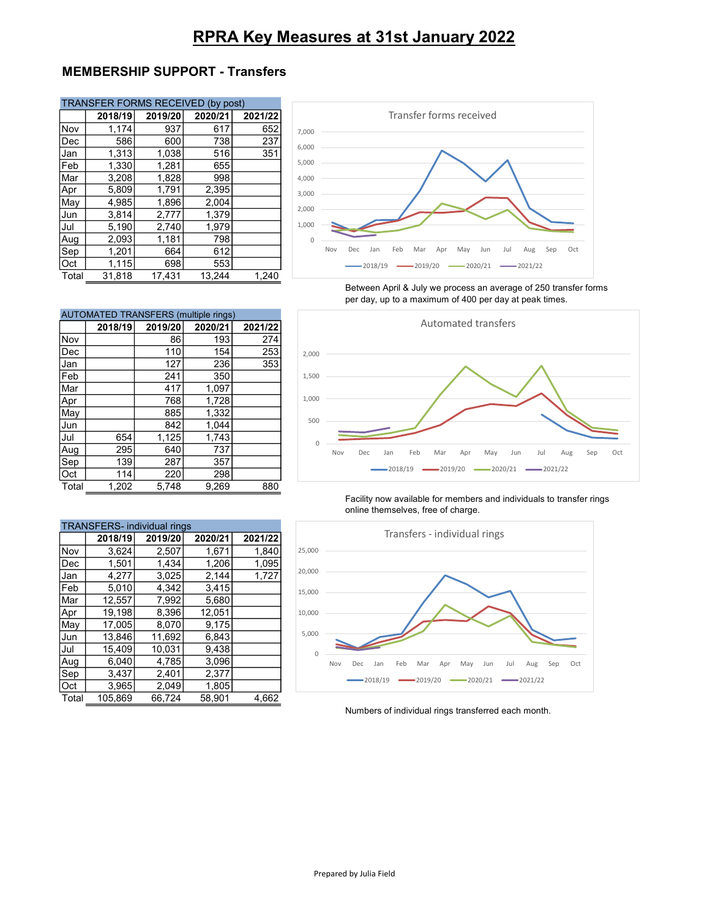# RPRA Key Measures at 31st January 2022

## MEMBERSHIP SUPPORT - Transfers

|       | TRANSFER FORMS RECEIVED (by post) |         |         |         |  |
|-------|-----------------------------------|---------|---------|---------|--|
|       | 2018/19                           | 2019/20 | 2020/21 | 2021/22 |  |
| Nov   | 1,174                             | 937     | 617     | 652     |  |
| Dec   | 586                               | 600     | 738     | 237     |  |
| Jan   | 1,313                             | 1,038   | 516     | 351     |  |
| Feb   | 1,330                             | 1,281   | 655     |         |  |
| Mar   | 3.208                             | 1.828   | 998     |         |  |
| Apr   | 5,809                             | 1,791   | 2,395   |         |  |
| May   | 4.985                             | 1,896   | 2,004   |         |  |
| Jun   | 3,814                             | 2,777   | 1,379   |         |  |
| Jul   | 5,190                             | 2,740   | 1,979   |         |  |
| Aug   | 2,093                             | 1,181   | 798     |         |  |
| Sep   | 1,201                             | 664     | 612     |         |  |
| Oct   | 1,115                             | 698     | 553     |         |  |
| Total | 31.818                            | 17.431  | 13,244  | 1.240   |  |



Between April & July we process an average of 250 transfer forms per day, up to a maximum of 400 per day at peak times.

| <b>AUTOMATED TRANSFERS (multiple rings)</b> |         |         |         |         |
|---------------------------------------------|---------|---------|---------|---------|
|                                             | 2018/19 | 2019/20 | 2020/21 | 2021/22 |
| Nov                                         |         | 86      | 193     | 274     |
| Dec                                         |         | 110     | 154     | 253     |
| Jan                                         |         | 127     | 236     | 353     |
| Feb                                         |         | 241     | 350     |         |
| Mar                                         |         | 417     | 1,097   |         |
| Apr                                         |         | 768     | 1.728   |         |
| May                                         |         | 885     | 1,332   |         |
| Jun                                         |         | 842     | 1,044   |         |
| Jul                                         | 654     | 1,125   | 1,743   |         |
| Aug                                         | 295     | 640     | 737     |         |
| Sep                                         | 139     | 287     | 357     |         |
| Oct                                         | 114     | 220     | 298     |         |
| Total                                       | 1,202   | 5,748   | 9,269   | 880     |

| <b>TRANSFERS-</b> individual rings |         |         |         |         |
|------------------------------------|---------|---------|---------|---------|
|                                    | 2018/19 | 2019/20 | 2020/21 | 2021/22 |
| Nov                                | 3.624   | 2,507   | 1.671   | 1,840   |
| Dec                                | 1,501   | 1,434   | 1,206   | 1,095   |
| Jan                                | 4.277   | 3,025   | 2,144   | 1,727   |
| Feb                                | 5.010   | 4,342   | 3,415   |         |
| Mar                                | 12,557  | 7,992   | 5,680   |         |
| Apr                                | 19.198  | 8.396   | 12.051  |         |
| May                                | 17.005  | 8,070   | 9,175   |         |
| Jun                                | 13.846  | 11.692  | 6.843   |         |
| Jul                                | 15.409  | 10,031  | 9.438   |         |
| Aug                                | 6,040   | 4,785   | 3.096   |         |
| Sep                                | 3,437   | 2,401   | 2,377   |         |
| Oct                                | 3,965   | 2,049   | 1,805   |         |
| Total                              | 105.869 | 66.724  | 58.901  | 4,662   |



Facility now available for members and individuals to transfer rings online themselves, free of charge.



Numbers of individual rings transferred each month.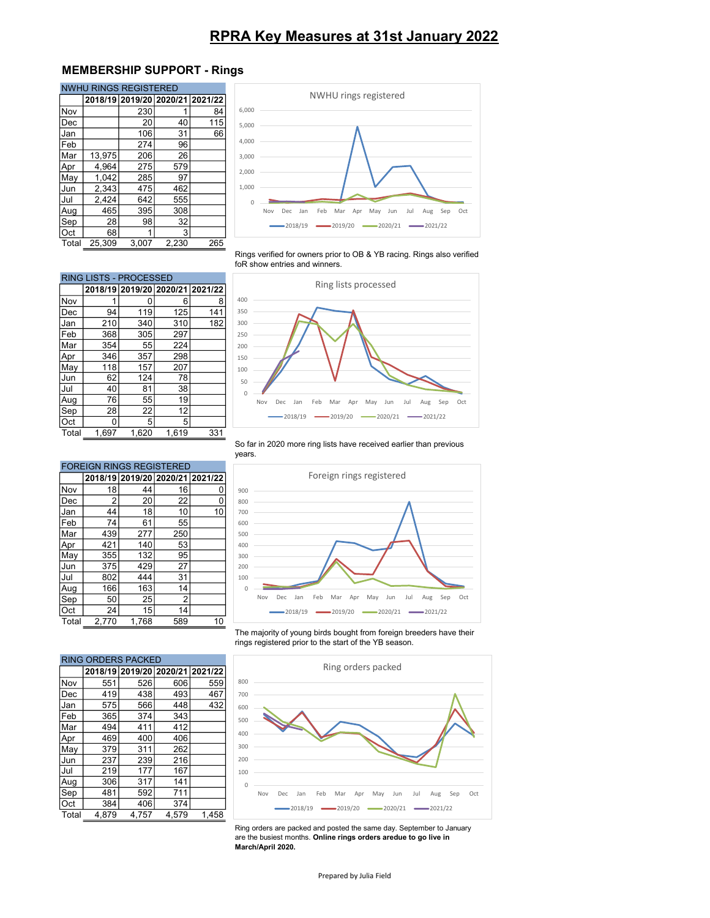## RPRA Key Measures at 31st January 2022

## MEMBERSHIP SUPPORT - Rings

| <b>NWHU RINGS REGISTERED</b> |        |                                 |       |     |
|------------------------------|--------|---------------------------------|-------|-----|
|                              |        | 2018/19 2019/20 2020/21 2021/22 |       |     |
| Nov                          |        | 230                             |       | 84  |
| Dec                          |        | 20                              | 40    | 115 |
| Jan                          |        | 106                             | 31    | 66  |
| Feb                          |        | 274                             | 96    |     |
| Mar                          | 13,975 | 206                             | 26    |     |
| Apr                          | 4,964  | 275                             | 579   |     |
| May                          | 1,042  | 285                             | 97    |     |
| Jun                          | 2,343  | 475                             | 462   |     |
| Jul                          | 2,424  | 642                             | 555   |     |
| Aug                          | 465    | 395                             | 308   |     |
| Sep                          | 28     | 98                              | 32    |     |
| Oct                          | 68     |                                 | 3     |     |
| Total                        | 25.309 | 3,007                           | 2,230 | 265 |



Rings verified for owners prior to OB & YB racing. Rings also verified foR show entries and winners.



So far in 2020 more ring lists have received earlier than previous years.

| Aug   | 76                              | 55                      | 19             |         |
|-------|---------------------------------|-------------------------|----------------|---------|
| Sep   | 28                              | 22                      | 12             |         |
| Oct   | 0                               | 5                       | 5              |         |
| Total | 1,697                           | 1,620                   | 1,619          | 331     |
|       |                                 |                         |                |         |
|       | <b>FOREIGN RINGS REGISTERED</b> |                         |                |         |
|       |                                 |                         |                |         |
|       |                                 | 2018/19 2019/20 2020/21 |                | 2021/22 |
| Nov   | 18                              | 44                      | 16             | 0       |
| Dec   | $\overline{2}$                  | 20                      | 22             | 0       |
| Jan   | 44                              | 18                      | 10             | 10      |
| Feb   | 74                              | 61                      | 55             |         |
| Mar   | 439                             | 277                     | 250            |         |
| Apr   | 421                             | 140                     | 53             |         |
| May   | 355                             | 132                     | 95             |         |
| Jun   | 375                             | 429                     | 27             |         |
| Jul   | 802                             | 444                     | 31             |         |
| Aug   | 166                             | 163                     | 14             |         |
| Sep   | 50                              | 25                      | $\overline{2}$ |         |

Feb 368 305 297 Mar 354 55 224<br>Apr 346 357 298 Apr 346 357 May 118 157 207 Jun 62 124 78<br>Jul 40 81 38 Jul 40 81 38

RING LISTS - PROCESSED



The majority of young birds bought from foreign breeders have their rings registered prior to the start of the YB season.



Ring orders are packed and posted the same day. September to January are the busiest months. Online rings orders aredue to go live in March/April 2020.

| Total | 2,770                     | 1,768                           | 589 | 10  |
|-------|---------------------------|---------------------------------|-----|-----|
|       |                           |                                 |     |     |
|       |                           |                                 |     |     |
|       | <b>RING ORDERS PACKED</b> |                                 |     |     |
|       |                           | 2018/19 2019/20 2020/21 2021/22 |     |     |
| Nov   | 551                       | 526                             | 606 | 559 |
| Dec   | 419                       | 438                             | 493 | 467 |
| Jan   | 575                       | 566                             | 448 | 432 |
| Feb   | 365                       | 374                             | 343 |     |
| Mar   | 494                       | 411                             | 412 |     |
| Apr   | 469                       | 400                             | 406 |     |
| May   | 379                       | 311                             | 262 |     |
| Jun   | 237                       | 239                             | 216 |     |
| Jul   | 219                       | 177                             | 167 |     |
| Aug   | 306                       | 317                             | 141 |     |
| Sep   | 481                       | 592                             | 711 |     |

Oct 384 406 374

Oct 24 15 14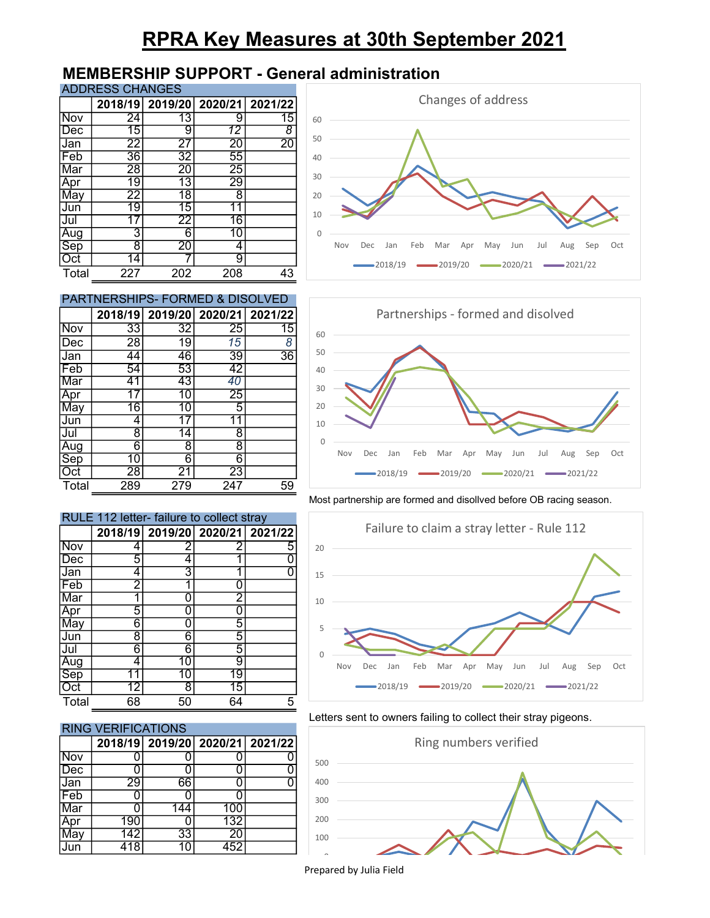# RPRA Key Measures at 30th September 2021

## MEMBERSHIP SUPPORT - General administration

ADDRESS CHANGES

|            |                 | 2018/19 2019/20 2020/21 2021/22 |                 |                 |
|------------|-----------------|---------------------------------|-----------------|-----------------|
| <b>Nov</b> | $\overline{24}$ | 13                              | 9               | 15              |
| Dec        | 15              | 9                               | 12              | 8               |
| Jan        | 22              | 27                              | $\overline{20}$ | $\overline{20}$ |
| Feb        | 36              | 32                              | 55              |                 |
| Mar        | $\overline{28}$ | $\overline{20}$                 | $\overline{25}$ |                 |
| Apr        | 19              | 13                              | 29              |                 |
| May        | $\overline{22}$ | $\overline{18}$                 | 8               |                 |
| Jun        | 19              | 15                              | 11              |                 |
| Jul        |                 | 22                              | 16              |                 |
| Aug        | 3               | 6                               | 10              |                 |
| Sep        | 8               | $\overline{20}$                 | 4               |                 |
| Oct        | 14              |                                 | 9               |                 |
| Total      | 227             | 202                             | 208             | 43              |

| <b>PARTNERSHIPS- FORMED &amp; DISOLVED</b> |    |    |    |                                 |  |
|--------------------------------------------|----|----|----|---------------------------------|--|
|                                            |    |    |    | 2018/19 2019/20 2020/21 2021/22 |  |
| <b>Nov</b>                                 | 33 | 32 | 25 | 15                              |  |
| Dec                                        | 28 | 19 | 15 | 8                               |  |
| lJan                                       | 44 | 46 | 39 | $\overline{36}$                 |  |
| lFeb                                       | 54 | 53 | 42 |                                 |  |
| Mar                                        |    | 43 |    |                                 |  |
|                                            |    |    | 25 |                                 |  |
| Mav                                        | 16 | 10 | 5  |                                 |  |
| Jun                                        |    |    |    |                                 |  |
|                                            | R  |    | 8  |                                 |  |

Aug 6 8 8<br>Sep 10 6 6 Sep 10 6 6<br>Oct 28 21 23 Oct | 28 21 23





#### Most partnership are formed and disollved before OB racing season.



### Letters sent to owners failing to collect their stray pigeons.



|            |    | 2018/19 2019/20 2020/21 2021/22 |                 |   |
|------------|----|---------------------------------|-----------------|---|
| Nov        | 4  | 2                               | 2               | 5 |
| Dec        | 5  | 4                               |                 |   |
| Jan        | 4  | 3                               |                 |   |
| Feb        | 2  | 1                               |                 |   |
| Mar        |    | ი                               | 2               |   |
| Apr        | 5  | ი                               |                 |   |
| May        | 6  | n                               | 5               |   |
| Jun        | 8  | 6                               | 5               |   |
| Jul        | 6  | 6                               | 5               |   |
| Aug<br>Sep | 4  | 10                              | 9               |   |
|            |    | 10                              | 19              |   |
| Oct        | 12 | 8                               | $\overline{15}$ |   |
| Total      | 68 | 50                              | 64              | 5 |

Total 289 279 247 59

RULE 112 letter- failure to collect stray

## RING VERIFICATIONS

|     |     |     |     | 2018/19 2019/20 2020/21 2021/22 |
|-----|-----|-----|-----|---------------------------------|
| Nov |     |     |     |                                 |
| Dec |     |     |     |                                 |
| Jan | 29  | 66  |     |                                 |
| Feb |     |     |     |                                 |
| Mar |     | 144 | 100 |                                 |
| Apr | 190 |     | 132 |                                 |
| May | 142 | 33  | 20  |                                 |
| lun |     |     |     |                                 |

Prepared by Julia Field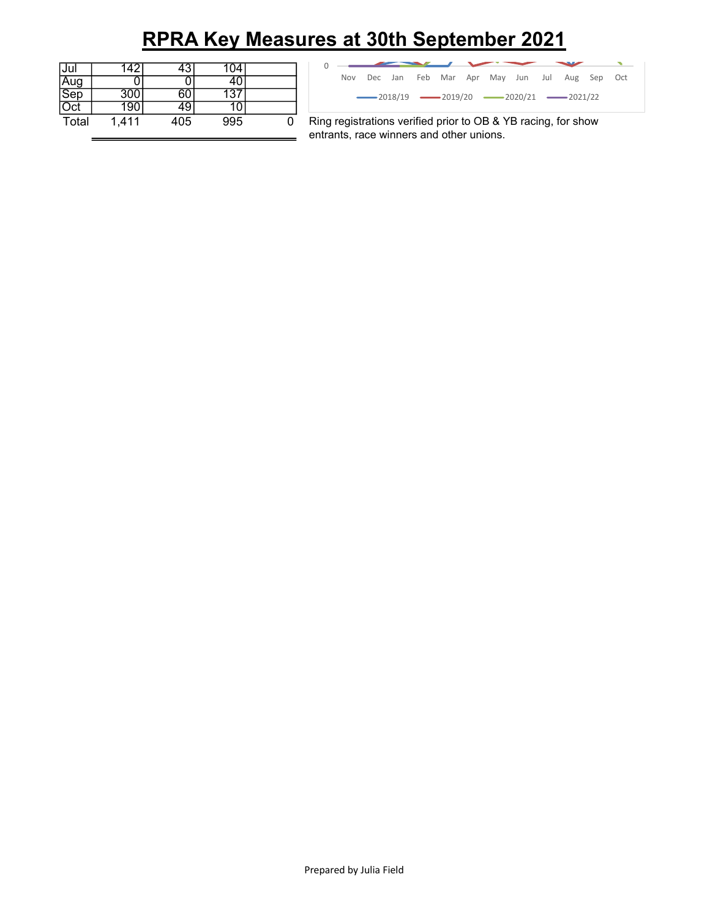# RPRA Key Measures at 30th September 2021

| Jul        |       | 3   | 104 |  |
|------------|-------|-----|-----|--|
|            |       |     |     |  |
| Aug<br>Sep | 300   |     |     |  |
| ⊃ct        | 190   | ν.  |     |  |
| Total      | 1,411 | 405 | 995 |  |

| <u>s at 30th September 2021:</u>                            |  |
|-------------------------------------------------------------|--|
|                                                             |  |
| Feb Mar Apr May Jun Jul Aug Sep Oct<br>Dec Jan<br>Nov       |  |
| $-2018/19$ $-2019/20$ $-2020/21$ $-2021/22$                 |  |
| ng registrations verified prior to OB & YB racing, for show |  |
| trants, race winners and other unions.                      |  |
|                                                             |  |

Ring registrations verified prior to OB & YB racing, for show entrants, race winners and other unions.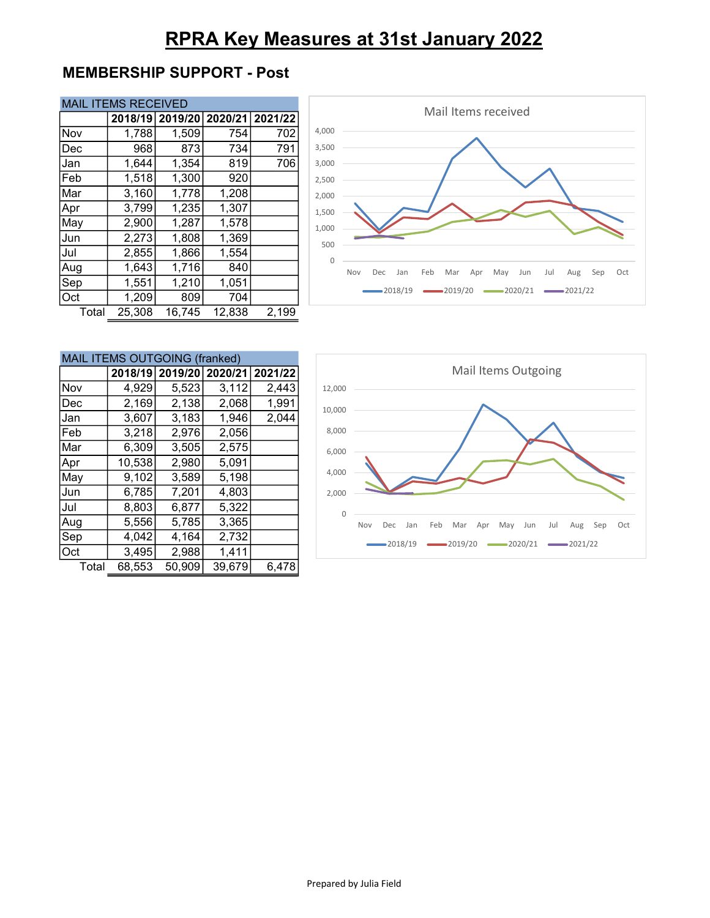# RPRA Key Measures at 31st January 2022

## MEMBERSHIP SUPPORT - Post

| <b>MAIL ITEMS RECEIVED</b> |  |
|----------------------------|--|
|----------------------------|--|

|       | 2018/19 | 2019/20 | 2020/21 | 2021/22 |
|-------|---------|---------|---------|---------|
| Nov   | 1,788   | 1,509   | 754     | 702     |
| Dec   | 968     | 873     | 734     | 791     |
| Jan   | 1,644   | 1,354   | 819     | 706     |
| Feb   | 1,518   | 1,300   | 920     |         |
| Mar   | 3,160   | 1,778   | 1,208   |         |
| Apr   | 3,799   | 1,235   | 1,307   |         |
| May   | 2,900   | 1,287   | 1,578   |         |
| Jun   | 2,273   | 1,808   | 1,369   |         |
| Jul   | 2,855   | 1,866   | 1,554   |         |
| Aug   | 1,643   | 1,716   | 840     |         |
| Sep   | 1,551   | 1,210   | 1,051   |         |
| Oct   | 1,209   | 809     | 704     |         |
| Total | 25,308  | 16,745  | 12,838  | 2,199   |



|       | MAIL ITEMS OUTGOING (franked) |                         |        |         |  |  |
|-------|-------------------------------|-------------------------|--------|---------|--|--|
|       |                               | 2018/19 2019/20 2020/21 |        | 2021/22 |  |  |
| Nov   | 4,929                         | 5,523                   | 3,112  | 2,443   |  |  |
| Dec   | 2,169                         | 2,138                   | 2,068  | 1,991   |  |  |
| Jan   | 3,607                         | 3,183                   | 1,946  | 2,044   |  |  |
| Feb   | 3,218                         | 2,976                   | 2,056  |         |  |  |
| Mar   | 6,309                         | 3,505                   | 2,575  |         |  |  |
| Apr   | 10,538                        | 2,980                   | 5,091  |         |  |  |
| May   | 9,102                         | 3,589                   | 5,198  |         |  |  |
| Jun   | 6,785                         | 7,201                   | 4,803  |         |  |  |
| Jul   | 8,803                         | 6,877                   | 5,322  |         |  |  |
| Aug   | 5,556                         | 5,785                   | 3,365  |         |  |  |
| Sep   | 4,042                         | 4,164                   | 2,732  |         |  |  |
| Oct   | 3,495                         | 2,988                   | 1,411  |         |  |  |
| Total | 68,553                        | 50,909                  | 39,679 | 6,478   |  |  |